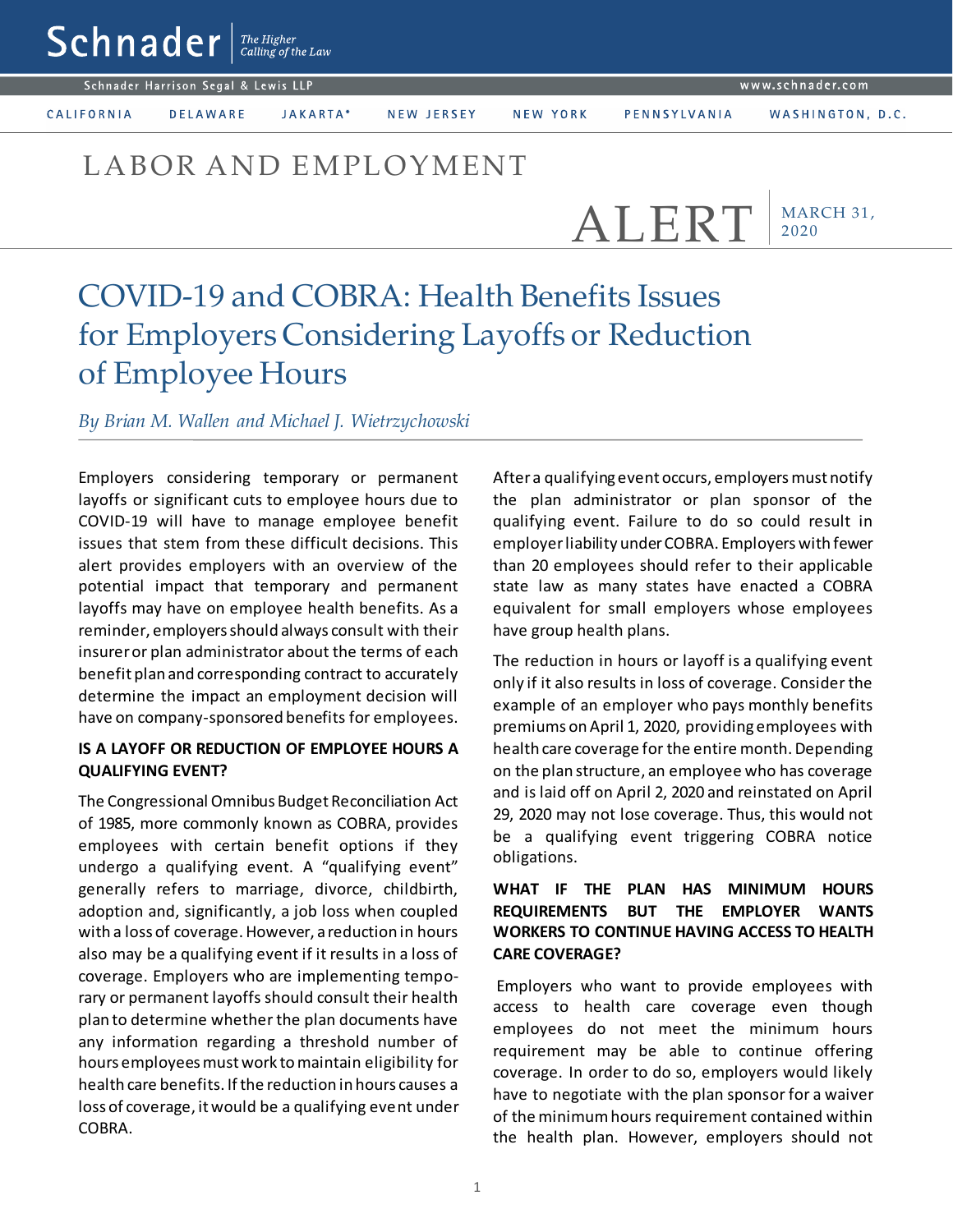#### www.schnader.com

Schnader Harrison Segal & Lewis LLP

 $\mathsf{Sch}$ nader  $\vert$ <sup>The Higher</sup>

CALIFORNIA

JAKARTA\* **DELAWARE** 

NEW JERSEY

NEW YORK

## LABOR AND EMPLOYMENT

MARCH 31, 2020 ALERT

# COVID-19 and COBRA: Health Benefits Issues for Employers Considering Layoffs or Reduction of Employee Hours

*By Brian M. Wallen and Michael J. Wietrzychowski* 

Employers considering temporary or permanent layoffs or significant cuts to employee hours due to COVID-19 will have to manage employee benefit issues that stem from these difficult decisions. This alert provides employers with an overview of the potential impact that temporary and permanent layoffs may have on employee health benefits. As a reminder, employers should always consult with their insurer or plan administrator about the terms of each benefit plan and corresponding contract to accurately determine the impact an employment decision will have on company-sponsored benefits for employees.

#### **IS A LAYOFF OR REDUCTION OF EMPLOYEE HOURS A QUALIFYING EVENT?**

The Congressional Omnibus Budget Reconciliation Act of 1985, more commonly known as COBRA, provides employees with certain benefit options if they undergo a qualifying event. A "qualifying event" generally refers to marriage, divorce, childbirth, adoption and, significantly, a job loss when coupled with a loss of coverage. However, a reduction in hours also may be a qualifying event if it results in a loss of coverage. Employers who are implementing temporary or permanent layoffs should consult their health plan to determine whether the plan documents have any information regarding a threshold number of hours employees must work to maintain eligibility for health care benefits. If the reduction in hours causes a loss of coverage, it would be a qualifying event under COBRA.

After a qualifying event occurs, employers must notify the plan administrator or plan sponsor of the qualifying event. Failure to do so could result in employer liability under COBRA. Employers with fewer than 20 employees should refer to their applicable state law as many states have enacted a COBRA equivalent for small employers whose employees have group health plans.

The reduction in hours or layoff is a qualifying event only if it also results in loss of coverage. Consider the example of an employer who pays monthly benefits premiums on April 1, 2020, providing employees with health care coverage for the entire month. Depending on the plan structure, an employee who has coverage and is laid off on April 2, 2020 and reinstated on April 29, 2020 may not lose coverage. Thus, this would not be a qualifying event triggering COBRA notice obligations.

### **WHAT IF THE PLAN HAS MINIMUM HOURS REQUIREMENTS BUT THE EMPLOYER WANTS WORKERS TO CONTINUE HAVING ACCESS TO HEALTH CARE COVERAGE?**

Employers who want to provide employees with access to health care coverage even though employees do not meet the minimum hours requirement may be able to continue offering coverage. In order to do so, employers would likely have to negotiate with the plan sponsor for a waiver of the minimum hours requirement contained within the health plan. However, employers should not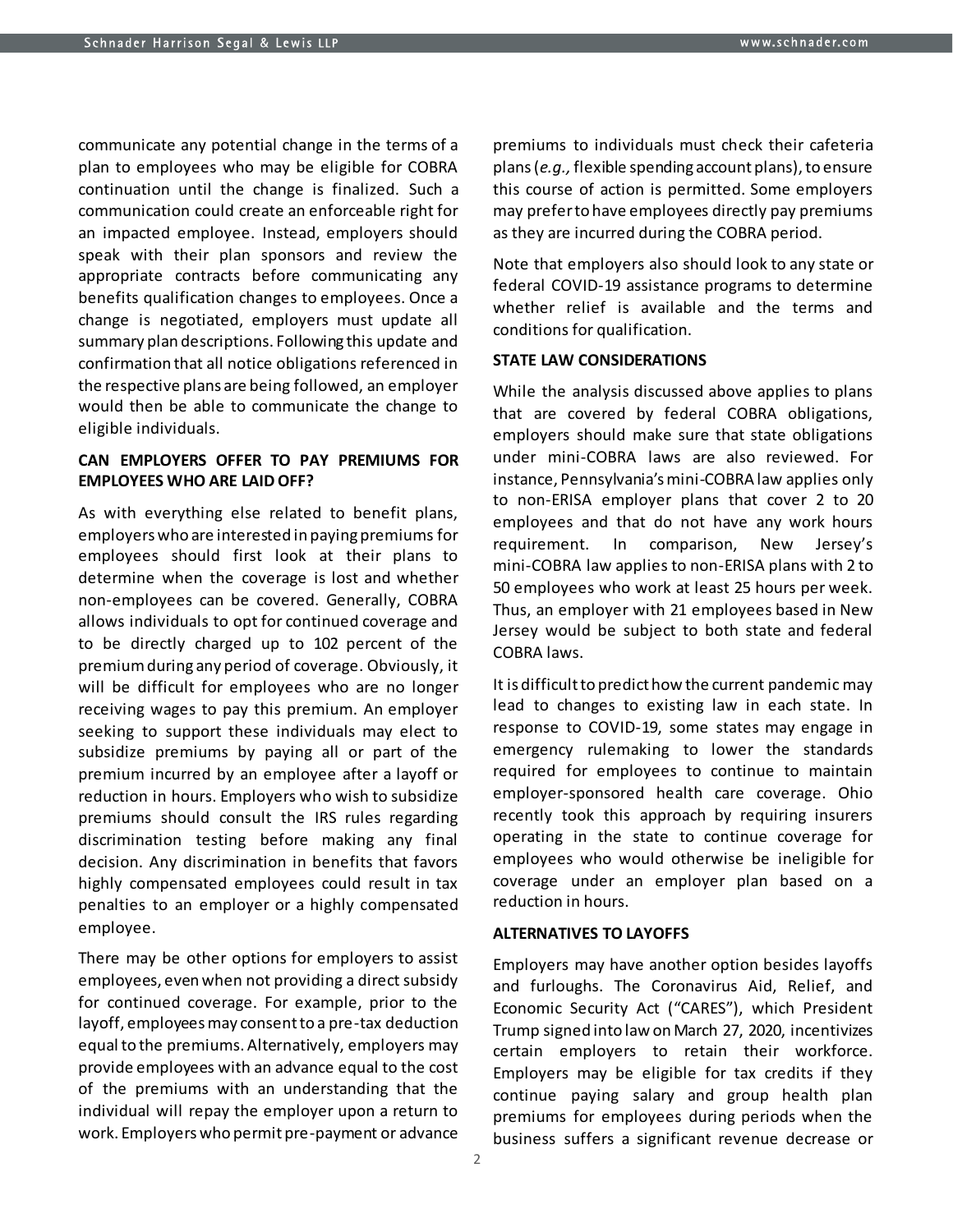communicate any potential change in the terms of a plan to employees who may be eligible for COBRA continuation until the change is finalized. Such a communication could create an enforceable right for an impacted employee. Instead, employers should speak with their plan sponsors and review the appropriate contracts before communicating any benefits qualification changes to employees. Once a change is negotiated, employers must update all summary plan descriptions. Following this update and confirmation that all notice obligations referenced in the respective plans are being followed, an employer would then be able to communicate the change to eligible individuals.

#### **CAN EMPLOYERS OFFER TO PAY PREMIUMS FOR EMPLOYEES WHO ARE LAID OFF?**

As with everything else related to benefit plans, employers who are interested in paying premiums for employees should first look at their plans to determine when the coverage is lost and whether non-employees can be covered. Generally, COBRA allows individuals to opt for continued coverage and to be directly charged up to 102 percent of the premium during any period of coverage. Obviously, it will be difficult for employees who are no longer receiving wages to pay this premium. An employer seeking to support these individuals may elect to subsidize premiums by paying all or part of the premium incurred by an employee after a layoff or reduction in hours. Employers who wish to subsidize premiums should consult the IRS rules regarding discrimination testing before making any final decision. Any discrimination in benefits that favors highly compensated employees could result in tax penalties to an employer or a highly compensated employee.

There may be other options for employers to assist employees, even when not providing a direct subsidy for continued coverage. For example, prior to the layoff, employees may consent to a pre-tax deduction equal to the premiums. Alternatively, employers may provide employees with an advance equal to the cost of the premiums with an understanding that the individual will repay the employer upon a return to work. Employers who permit pre-payment or advance

premiums to individuals must check their cafeteria plans (*e.g.,* flexible spending account plans), to ensure this course of action is permitted. Some employers may prefer to have employees directly pay premiums as they are incurred during the COBRA period.

Note that employers also should look to any state or federal COVID-19 assistance programs to determine whether relief is available and the terms and conditions for qualification.

#### **STATE LAW CONSIDERATIONS**

While the analysis discussed above applies to plans that are covered by federal COBRA obligations, employers should make sure that state obligations under mini-COBRA laws are also reviewed. For instance, Pennsylvania's mini-COBRA law applies only to non-ERISA employer plans that cover 2 to 20 employees and that do not have any work hours requirement. In comparison, New Jersey's mini-COBRA law applies to non-ERISA plans with 2 to 50 employees who work at least 25 hours per week. Thus, an employer with 21 employees based in New Jersey would be subject to both state and federal COBRA laws.

It is difficult to predict how the current pandemic may lead to changes to existing law in each state. In response to COVID-19, some states may engage in emergency rulemaking to lower the standards required for employees to continue to maintain employer-sponsored health care coverage. Ohio recently took this approach by requiring insurers operating in the state to continue coverage for employees who would otherwise be ineligible for coverage under an employer plan based on a reduction in hours.

#### **ALTERNATIVES TO LAYOFFS**

Employers may have another option besides layoffs and furloughs. The Coronavirus Aid, Relief, and Economic Security Act ("CARES"), which President Trump signed into law on March 27, 2020, incentivizes certain employers to retain their workforce. Employers may be eligible for tax credits if they continue paying salary and group health plan premiums for employees during periods when the business suffers a significant revenue decrease or